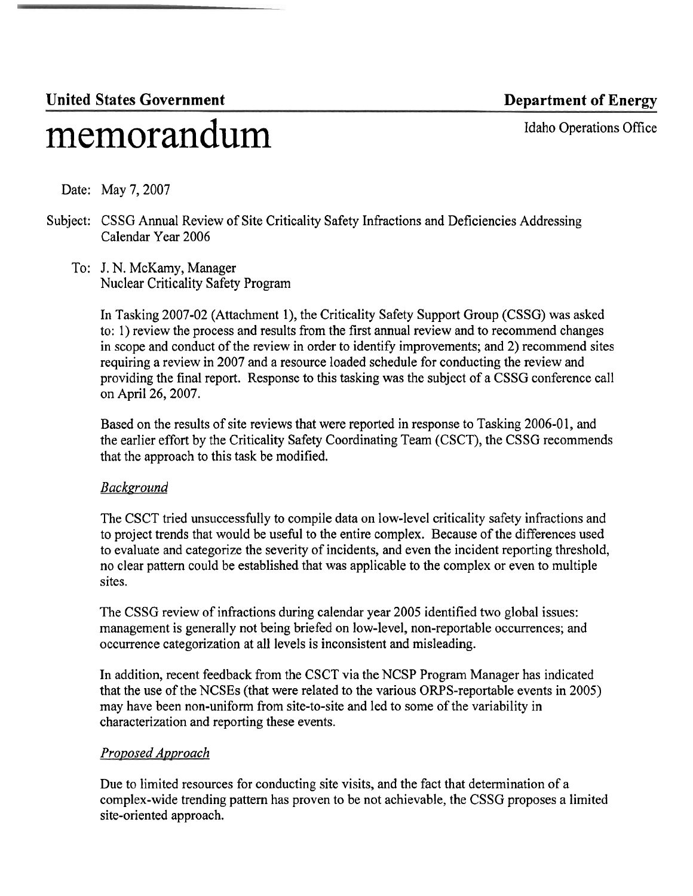# United States Government **Department of Energy**

memorandum Idaho Operations Office

Date: May 7, 2007

- Subject: CSSG Annual Review of Site Criticality Safety Infractions and Deficiencies Addressing Calendar Year 2006
	- To: J. N. McKamy, Manager Nuclear Criticality Safety Program

In Tasking 2007-02 (Attachment I), the Criticality Safety Support Group (CSSG) was asked to: 1) review the process and results from the first annual review and to recommend changes in scope and conduct of the review in order to identify improvements; and 2) recommend sites requiring a review in 2007 and a resource loaded schedule for conducting the review and providing the final report. Response to this tasking was the subject of a CSSG conference call on April 26,2007.

Based on the results of site reviews that were reported in response to Tasking 2006-01, and the earlier effort by the Criticality Safety Coordinating Team (CSCT), the CSSG recommends that the approach to this task be modified.

# *Background*

The CSCT tried unsuccessfully to compile data on low-level criticality safety infractions and to project trends that would be useful to the entire complex. Because of the differences used to evaluate and categorize the severity of incidents, and even the incident reporting threshold, no clear pattern could be established that was applicable to the complex or even to multiple sites.

The CSSG review of infractions during calendar year 2005 identified two global issues: management is generally not being briefed on low-level, non-reportable occurrences; and occurrence categorization at all levels is inconsistent and misleading.

In addition, recent feedback from the CSCT via the NCSP Program Manager has indicated that the use of the NCSEs (that were related to the various ORPS-reportable events in 2005) may have been non-uniform from site-to-site and led to some of the variability in characterization and reporting these events.

# *Proposed Approach*

Due to limited resources for conducting site visits, and the fact that determination of a complex-wide trending pattern has proven to be not achievable, the CSSG proposes a limited site-oriented approach.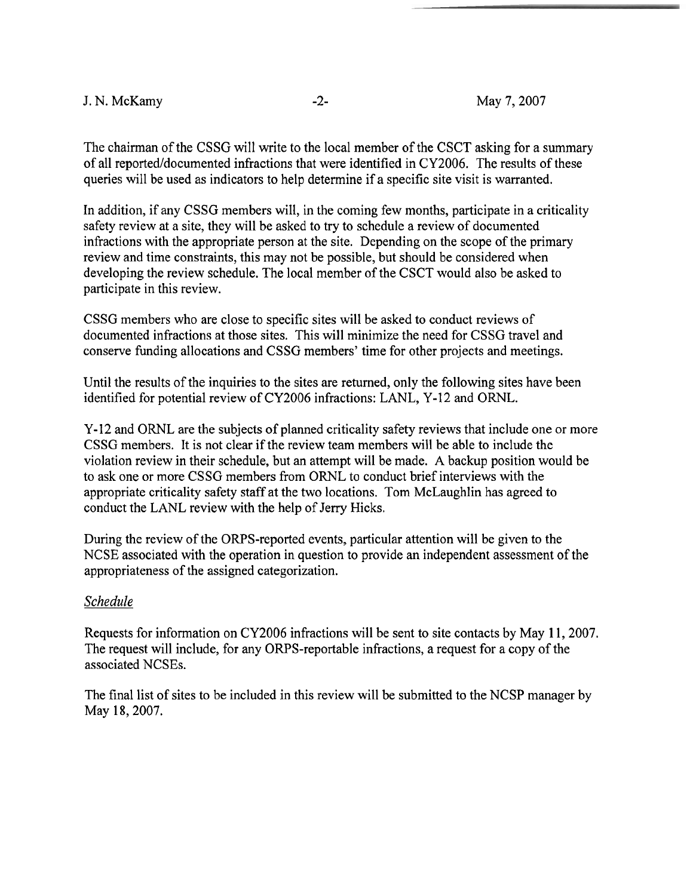### J. N. McKamy -2- May 7,2007

The chairman of the CSSG will write to the local member of the CSCT asking for a summary of all reported/documented infractions that were identified in CY2006. The results of these queries will be used as indicators to help determine if a specific site visit is warranted.

In addition, if any CSSG members will, in the coming few months, participate in a criticality safety review at a site, they will be asked to try to schedule a review of documented infractions with the appropriate person at the site. Depending on the scope of the primary review and time constraints, this may not be possible, but should be considered when developing the review schedule. The local member of the CSCT would also be asked to participate in this review.

CSSG members who are close to specific sites will be asked to conduct reviews of documented infiactions at those sites. This will minimize the need for CSSG travel and conserve funding allocations and CSSG members' time for other projects and meetings.

Until the results of the inquiries to the sites are returned, only the following sites have been identified for potential review of CY2006 infractions: LANL, Y-12 and ORNL.

Y-12 and ORNL are the subjects of planned criticality safety reviews that include one or more CSSG members. It is not clear if the review team members will be able to include the violation review in their schedule, but an attempt will be made. A backup position would be to ask one or more CSSG members from ORNL to conduct brief interviews with the appropriate criticality safety staff at the two locations. Tom McLaughlin has agreed to conduct the LANL review with the help of Jerry Hicks.

During the review of the ORPS-reported events, particular attention will be given to the NCSE associated with the operation in question to provide an independent assessment of the appropriateness of the assigned categorization.

### *Schedule*

Requests for information on CY2006 infractions will be sent to site contacts by May 11, 2007. The request will include, for any ORPS-reportable infractions, a request for a copy of the associated NCSEs.

The final list of sites to be included in this review will be submitted to the NCSP manager by May 18,2007.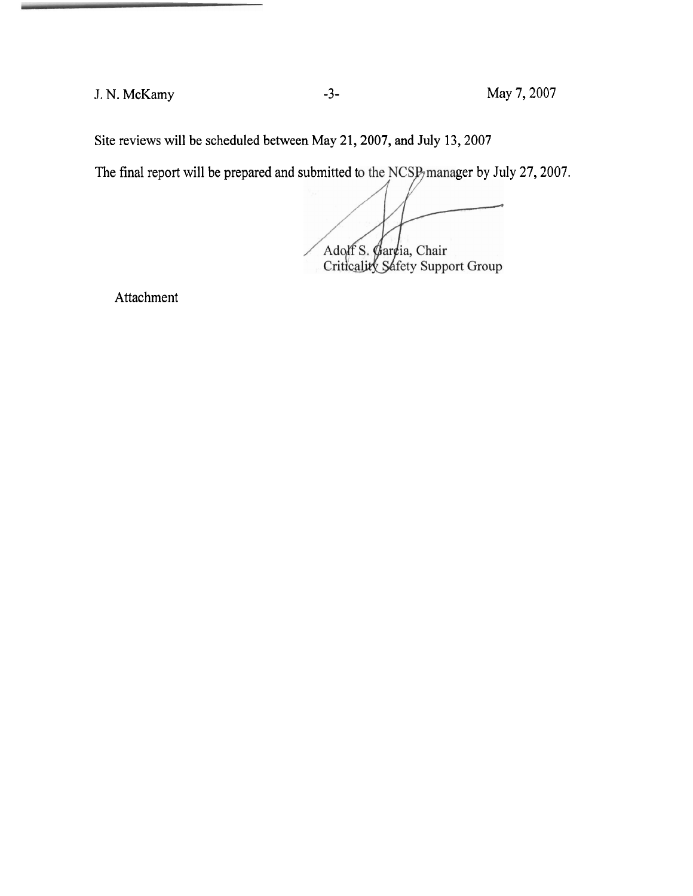J. N. McKamy **-3-** May 7,2007

Site reviews will be scheduled between May 21,2007, and July 13,2007

The final report will be prepared and submitted to the NCSP manager by July 27, 2007.

Adolf S. Gardia, Chair<br>Criticality Safety Support Group

Attachment